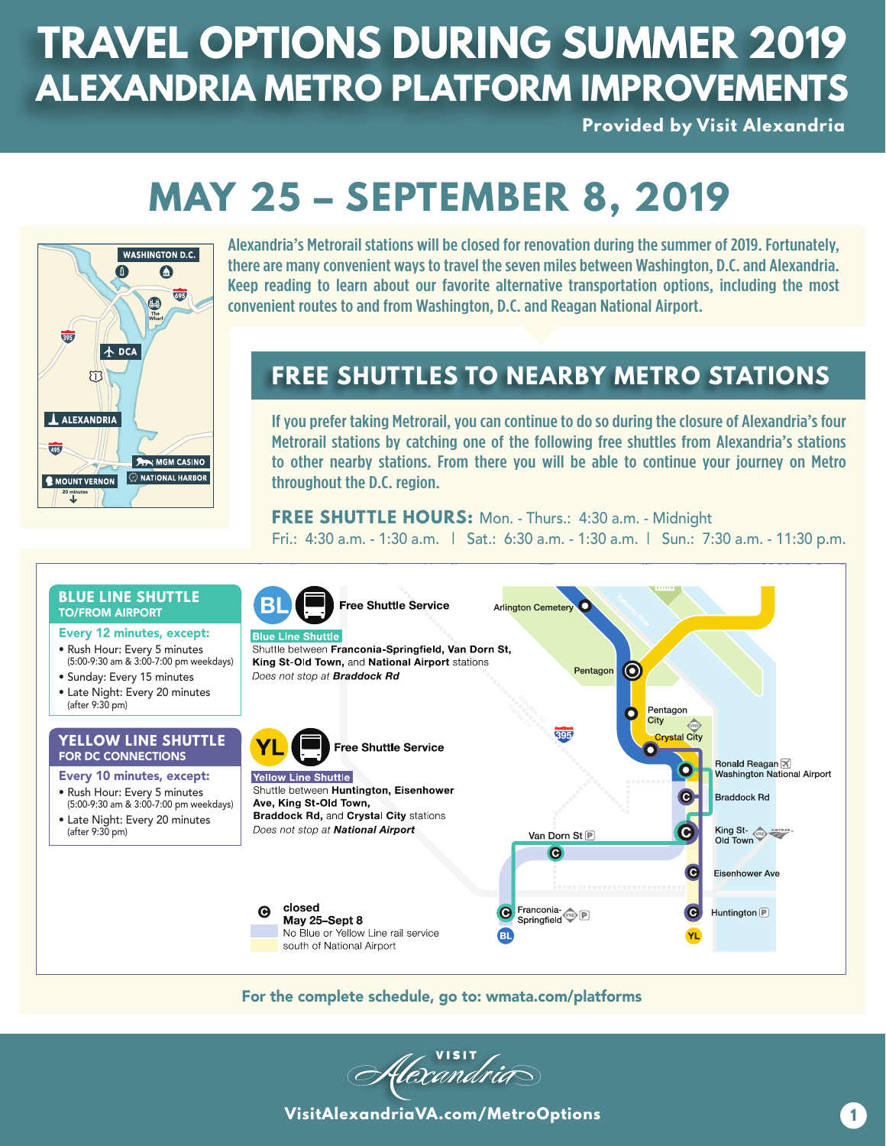### **TRAVEL OPTIONS DURING SUMMER 2019 ALEXANDRIA METRO PLATFORM IMPROVEMENTS**

**Provided by Visit Alexandria** 

# **MAY 25 – SEPTEMBER 8, 2019**



Alexandria's Metrorail stations will be closed for renovation during the summer of 2019. Fortunately, there are many convenient ways to travel the seven miles between Washington, D.C. and Alexandria. Keep reading to learn about our favorite alternative transportation options, including the most convenient routes to and from Washington, D.C. and Reagan National Airport.

### **FREE SHUTTLES TO NEARBY METRO STATIONS**

If you prefer taking Metrorail, you can continue to do so during the closure of Alexandria's four Metrorail stations by catching one of the following free shuttles from Alexandria's stations to other nearby stations. From there you will be able to continue your journey on Metro throughout the D.C. region.

**FREE SHUTTLE HOURS:** Mon. - Thurs.: 4:30 a.m. - Midnight

Fri.: 4:30 a.m. - 1:30 a.m. | Sat.: 6:30 a.m. - 1:30 a.m. | Sun.: 7:30 a.m. - 11:30 p.m.



For the complete schedule, go to: wmata.com/platforms

flexandrid